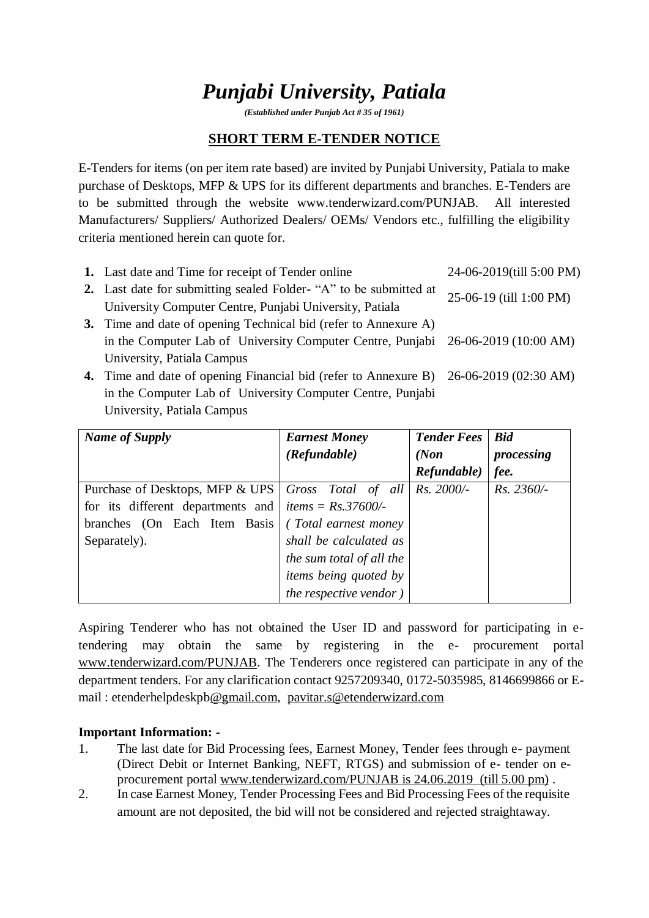# *Punjabi University, Patiala*

*(Established under Punjab Act # 35 of 1961)*

## **SHORT TERM E-TENDER NOTICE**

E-Tenders for items (on per item rate based) are invited by Punjabi University, Patiala to make purchase of Desktops, MFP & UPS for its different departments and branches. E-Tenders are to be submitted through the website www.tenderwizard.com/PUNJAB. All interested Manufacturers/ Suppliers/ Authorized Dealers/ OEMs/ Vendors etc., fulfilling the eligibility criteria mentioned herein can quote for.

| 1. Last date and Time for receipt of Tender online                                    | 24-06-2019(till 5:00 PM) |
|---------------------------------------------------------------------------------------|--------------------------|
| 2. Last date for submitting sealed Folder- "A" to be submitted at                     | 25-06-19 (till 1:00 PM)  |
| University Computer Centre, Punjabi University, Patiala                               |                          |
| 3. Time and date of opening Technical bid (refer to Annexure A)                       |                          |
| in the Computer Lab of University Computer Centre, Punjabi 26-06-2019 (10:00 AM)      |                          |
| University, Patiala Campus                                                            |                          |
| 4. Time and date of opening Financial bid (refer to Annexure B) 26-06-2019 (02:30 AM) |                          |
| in the Computer Lab of University Computer Centre, Punjabi                            |                          |
| University, Patiala Campus                                                            |                          |

| <b>Name of Supply</b>                                | <b>Earnest Money</b>        | <b>Tender Fees</b> | <b>Bid</b>   |
|------------------------------------------------------|-----------------------------|--------------------|--------------|
|                                                      | (Refundable)                | (Non)              | processing   |
|                                                      |                             | Refundable)        | fee.         |
| Purchase of Desktops, MFP & UPS   Gross Total of all |                             | Rs. 2000/-         | $Rs. 2360/-$ |
| for its different departments and                    | <i>items</i> = $Rs.37600/-$ |                    |              |
| branches (On Each Item Basis)                        | (Total earnest money)       |                    |              |
| Separately).                                         | shall be calculated as      |                    |              |
|                                                      | the sum total of all the    |                    |              |
|                                                      | items being quoted by       |                    |              |
|                                                      | the respective vendor)      |                    |              |

Aspiring Tenderer who has not obtained the User ID and password for participating in etendering may obtain the same by registering in the e- procurement portal [www.tenderwizard.com/PUNJAB.](http://www.tenderwizard.com/PUNJAB) The Tenderers once registered can participate in any of the department tenders. For any clarification contact 9257209340, 0172-5035985, 8146699866 or Email : etenderhelpdeskp[b@gmail.com,](mailto:@gmail.com) [pavitar.s@etenderwizard.com](mailto:pavitar.s@etenderwizard.com)

#### **Important Information: -**

- 1. The last date for Bid Processing fees, Earnest Money, Tender fees through e- payment (Direct Debit or Internet Banking, NEFT, RTGS) and submission of e- tender on eprocurement portal [www.tenderwizard.com/PUNJAB is 24.06.2019](http://www.tenderwizard.com/PUNJAB%20is%2024.06.2019) (till 5.00 pm) .
- 2. In case Earnest Money, Tender Processing Fees and Bid Processing Fees of the requisite amount are not deposited, the bid will not be considered and rejected straightaway.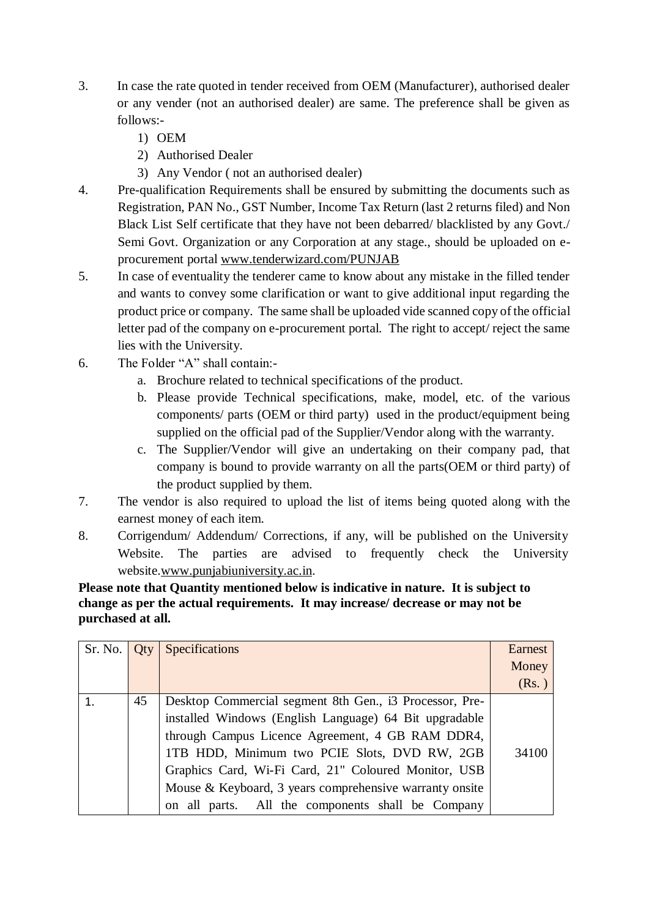- 3. In case the rate quoted in tender received from OEM (Manufacturer), authorised dealer or any vender (not an authorised dealer) are same. The preference shall be given as follows:-
	- 1) OEM
	- 2) Authorised Dealer
	- 3) Any Vendor ( not an authorised dealer)
- 4. Pre-qualification Requirements shall be ensured by submitting the documents such as Registration, PAN No., GST Number, Income Tax Return (last 2 returns filed) and Non Black List Self certificate that they have not been debarred/ blacklisted by any Govt./ Semi Govt. Organization or any Corporation at any stage., should be uploaded on eprocurement portal [www.tenderwizard.com/PUNJAB](http://www.tenderwizard.com/PUNJAB)
- 5. In case of eventuality the tenderer came to know about any mistake in the filled tender and wants to convey some clarification or want to give additional input regarding the product price or company. The same shall be uploaded vide scanned copy of the official letter pad of the company on e-procurement portal. The right to accept/ reject the same lies with the University.
- 6. The Folder "A" shall contain:
	- a. Brochure related to technical specifications of the product.
	- b. Please provide Technical specifications, make, model, etc. of the various components/ parts (OEM or third party) used in the product/equipment being supplied on the official pad of the Supplier/Vendor along with the warranty.
	- c. The Supplier/Vendor will give an undertaking on their company pad, that company is bound to provide warranty on all the parts(OEM or third party) of the product supplied by them.
- 7. The vendor is also required to upload the list of items being quoted along with the earnest money of each item.
- 8. Corrigendum/ Addendum/ Corrections, if any, will be published on the University Website. The parties are advised to frequently check the University website[.www.punjabiuniversity.ac.in.](http://www.punjabiuniversity.ac.in/)

**Please note that Quantity mentioned below is indicative in nature. It is subject to change as per the actual requirements. It may increase/ decrease or may not be purchased at all.**

| Sr. No. | Otv | Specifications                                          | Earnest<br>Money |
|---------|-----|---------------------------------------------------------|------------------|
|         |     |                                                         | (Rs.)            |
|         | 45  | Desktop Commercial segment 8th Gen., i3 Processor, Pre- |                  |
|         |     | installed Windows (English Language) 64 Bit upgradable  |                  |
|         |     | through Campus Licence Agreement, 4 GB RAM DDR4,        |                  |
|         |     | 1TB HDD, Minimum two PCIE Slots, DVD RW, 2GB            | 34100            |
|         |     | Graphics Card, Wi-Fi Card, 21" Coloured Monitor, USB    |                  |
|         |     | Mouse & Keyboard, 3 years comprehensive warranty onsite |                  |
|         |     | on all parts. All the components shall be Company       |                  |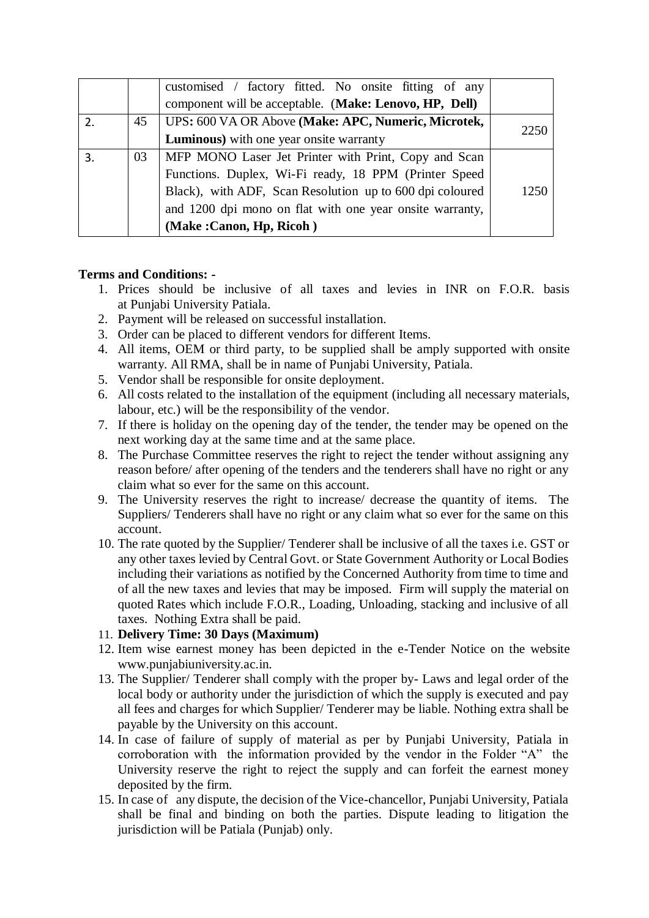|              |    | customised / factory fitted. No onsite fitting of any    |      |
|--------------|----|----------------------------------------------------------|------|
|              |    | component will be acceptable. (Make: Lenovo, HP, Dell)   |      |
| 2.           | 45 | UPS: 600 VA OR Above (Make: APC, Numeric, Microtek,      | 2250 |
|              |    | <b>Luminous</b> ) with one year onsite warranty          |      |
| $\mathbf{3}$ | 03 | MFP MONO Laser Jet Printer with Print, Copy and Scan     |      |
|              |    | Functions. Duplex, Wi-Fi ready, 18 PPM (Printer Speed    |      |
|              |    | Black), with ADF, Scan Resolution up to 600 dpi coloured | 1250 |
|              |    | and 1200 dpi mono on flat with one year onsite warranty, |      |
|              |    | (Make:Canon, Hp, Ricoh)                                  |      |

#### **Terms and Conditions: -**

- 1. Prices should be inclusive of all taxes and levies in INR on F.O.R. basis at Punjabi University Patiala.
- 2. Payment will be released on successful installation.
- 3. Order can be placed to different vendors for different Items.
- 4. All items, OEM or third party, to be supplied shall be amply supported with onsite warranty. All RMA, shall be in name of Punjabi University, Patiala.
- 5. Vendor shall be responsible for onsite deployment.
- 6. All costs related to the installation of the equipment (including all necessary materials, labour, etc.) will be the responsibility of the vendor.
- 7. If there is holiday on the opening day of the tender, the tender may be opened on the next working day at the same time and at the same place.
- 8. The Purchase Committee reserves the right to reject the tender without assigning any reason before/ after opening of the tenders and the tenderers shall have no right or any claim what so ever for the same on this account.
- 9. The University reserves the right to increase/ decrease the quantity of items. The Suppliers/ Tenderers shall have no right or any claim what so ever for the same on this account.
- 10. The rate quoted by the Supplier/ Tenderer shall be inclusive of all the taxes i.e. GST or any other taxes levied by Central Govt. or State Government Authority or Local Bodies including their variations as notified by the Concerned Authority from time to time and of all the new taxes and levies that may be imposed. Firm will supply the material on quoted Rates which include F.O.R., Loading, Unloading, stacking and inclusive of all taxes. Nothing Extra shall be paid.

#### 11. **Delivery Time: 30 Days (Maximum)**

- 12. Item wise earnest money has been depicted in the e-Tender Notice on the website www.punjabiuniversity.ac.in.
- 13. The Supplier/ Tenderer shall comply with the proper by- Laws and legal order of the local body or authority under the jurisdiction of which the supply is executed and pay all fees and charges for which Supplier/ Tenderer may be liable. Nothing extra shall be payable by the University on this account.
- 14. In case of failure of supply of material as per by Punjabi University, Patiala in corroboration with the information provided by the vendor in the Folder "A" the University reserve the right to reject the supply and can forfeit the earnest money deposited by the firm.
- 15. In case of any dispute, the decision of the Vice-chancellor, Punjabi University, Patiala shall be final and binding on both the parties. Dispute leading to litigation the jurisdiction will be Patiala (Punjab) only.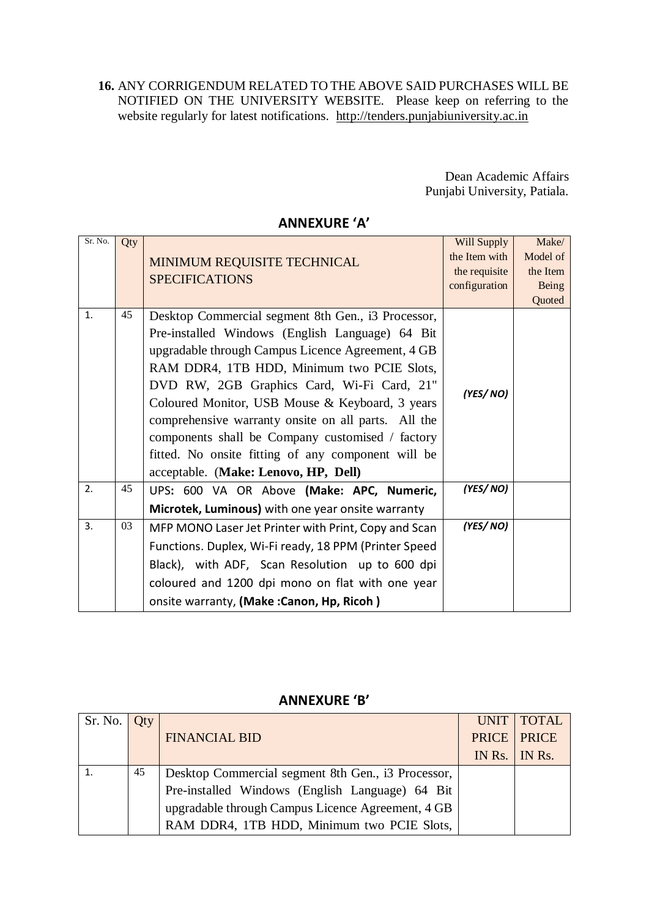**16.** ANY CORRIGENDUM RELATED TO THE ABOVE SAID PURCHASES WILL BE NOTIFIED ON THE UNIVERSITY WEBSITE. Please keep on referring to the website regularly for latest notifications. [http://tenders.punjabiuniversity.ac.in](http://tenders.punjabiuniversity.ac.in/)

> Dean Academic Affairs Punjabi University, Patiala.

| Sr. No. | Qty | MINIMUM REQUISITE TECHNICAL<br><b>SPECIFICATIONS</b>                                                                                                                                                                                                                                                                                                                                                                                                                                                               | Will Supply<br>the Item with<br>the requisite<br>configuration | Make/<br>Model of<br>the Item<br><b>Being</b><br>Quoted |
|---------|-----|--------------------------------------------------------------------------------------------------------------------------------------------------------------------------------------------------------------------------------------------------------------------------------------------------------------------------------------------------------------------------------------------------------------------------------------------------------------------------------------------------------------------|----------------------------------------------------------------|---------------------------------------------------------|
| 1.      | 45  | Desktop Commercial segment 8th Gen., i3 Processor,<br>Pre-installed Windows (English Language) 64 Bit<br>upgradable through Campus Licence Agreement, 4 GB<br>RAM DDR4, 1TB HDD, Minimum two PCIE Slots,<br>DVD RW, 2GB Graphics Card, Wi-Fi Card, 21"<br>Coloured Monitor, USB Mouse & Keyboard, 3 years<br>comprehensive warranty onsite on all parts. All the<br>components shall be Company customised / factory<br>fitted. No onsite fitting of any component will be<br>acceptable. (Make: Lenovo, HP, Dell) | (YES/NO)                                                       |                                                         |
| 2.      | 45  | UPS: 600 VA OR Above (Make: APC, Numeric,<br>Microtek, Luminous) with one year onsite warranty                                                                                                                                                                                                                                                                                                                                                                                                                     | (YES/ NO)                                                      |                                                         |
| 3.      | 03  | MFP MONO Laser Jet Printer with Print, Copy and Scan<br>Functions. Duplex, Wi-Fi ready, 18 PPM (Printer Speed<br>Black), with ADF, Scan Resolution up to 600 dpi<br>coloured and 1200 dpi mono on flat with one year<br>onsite warranty, (Make:Canon, Hp, Ricoh)                                                                                                                                                                                                                                                   | (YES/NO)                                                       |                                                         |

### **ANNEXURE 'A'**

#### **ANNEXURE 'B'**

| $Sr. No.$ Qty |    |                                                    | UNIT   TOTAL          |
|---------------|----|----------------------------------------------------|-----------------------|
|               |    | <b>FINANCIAL BID</b>                               | <b>PRICE   PRICE</b>  |
|               |    |                                                    | IN Rs. $\vert$ IN Rs. |
|               | 45 | Desktop Commercial segment 8th Gen., i3 Processor, |                       |
|               |    | Pre-installed Windows (English Language) 64 Bit    |                       |
|               |    | upgradable through Campus Licence Agreement, 4 GB  |                       |
|               |    | RAM DDR4, 1TB HDD, Minimum two PCIE Slots,         |                       |